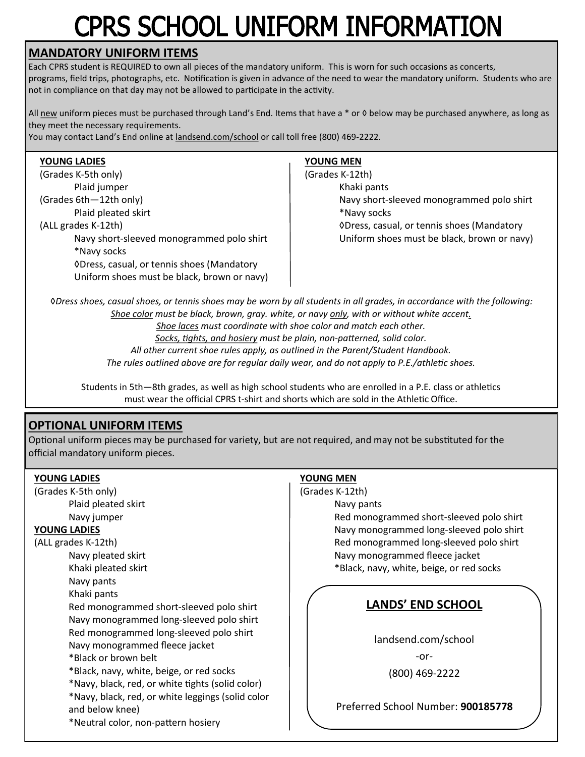# **CPRS SCHOOL UNIFORM INFORMATION**

#### **MANDATORY UNIFORM ITEMS**

Each CPRS student is REQUIRED to own all pieces of the mandatory uniform. This is worn for such occasions as concerts, programs, field trips, photographs, etc. Notification is given in advance of the need to wear the mandatory uniform. Students who are not in compliance on that day may not be allowed to participate in the activity.

All new uniform pieces must be purchased through Land's End. Items that have a \* or ◊ below may be purchased anywhere, as long as they meet the necessary requirements.

You may contact Land's End online at landsend.com/school or call toll free (800) 469-2222.

#### **YOUNG LADIES**

(Grades K-5th only) Plaid jumper (Grades 6th—12th only) Plaid pleated skirt (ALL grades K-12th) Navy short-sleeved monogrammed polo shirt \*Navy socks ◊Dress, casual, or tennis shoes (Mandatory Uniform shoes must be black, brown or navy)

#### **YOUNG MEN**

(Grades K-12th) Khaki pants Navy short-sleeved monogrammed polo shirt \*Navy socks ◊Dress, casual, or tennis shoes (Mandatory Uniform shoes must be black, brown or navy)

◊*Dress shoes, casual shoes, or tennis shoes may be worn by all students in all grades, in accordance with the following: Shoe color must be black, brown, gray. white, or navy only, with or without white accent. Shoe laces must coordinate with shoe color and match each other. Socks, tights, and hosiery must be plain, non-patterned, solid color. All other current shoe rules apply, as outlined in the Parent/Student Handbook. The rules outlined above are for regular daily wear, and do not apply to P.E./athletic shoes.*

Students in 5th—8th grades, as well as high school students who are enrolled in a P.E. class or athletics must wear the official CPRS t-shirt and shorts which are sold in the Athletic Office.

# **OPTIONAL UNIFORM ITEMS**

Optional uniform pieces may be purchased for variety, but are not required, and may not be substituted for the official mandatory uniform pieces.

| <b>YOUNG LADIES</b>                               | <b>YOUNG MEN</b>                         |
|---------------------------------------------------|------------------------------------------|
| (Grades K-5th only)                               | (Grades K-12th)                          |
| Plaid pleated skirt                               | Navy pants                               |
| Navy jumper                                       | Red monogrammed short-sleeved polo shirt |
| <b>YOUNG LADIES</b>                               | Navy monogrammed long-sleeved polo shirt |
| (ALL grades K-12th)                               | Red monogrammed long-sleeved polo shirt  |
| Navy pleated skirt                                | Navy monogrammed fleece jacket           |
| Khaki pleated skirt                               | *Black, navy, white, beige, or red socks |
| Navy pants                                        |                                          |
| Khaki pants                                       |                                          |
| Red monogrammed short-sleeved polo shirt          | <b>LANDS' END SCHOOL</b>                 |
| Navy monogrammed long-sleeved polo shirt          |                                          |
| Red monogrammed long-sleeved polo shirt           | landsend.com/school                      |
| Navy monogrammed fleece jacket                    |                                          |
| *Black or brown belt                              | -or-                                     |
| *Black, navy, white, beige, or red socks          | (800) 469-2222                           |
| *Navy, black, red, or white tights (solid color)  |                                          |
| *Navy, black, red, or white leggings (solid color |                                          |
| and below knee)                                   | Preferred School Number: 900185778       |
| *Neutral color, non-pattern hosiery               |                                          |
|                                                   |                                          |